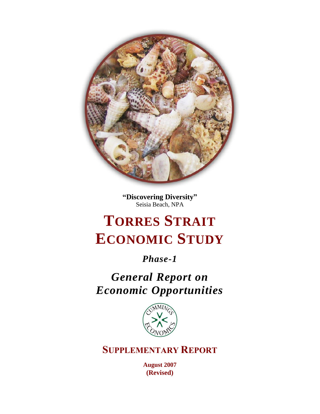

**"Discovering Diversity"** Seisia Beach, NPA

# **TORRES STRAIT ECONOMIC STUDY**

*Phase-1*

*General Report on Economic Opportunities*



**SUPPLEMENTARY REPORT**

**August 2007 (Revised)**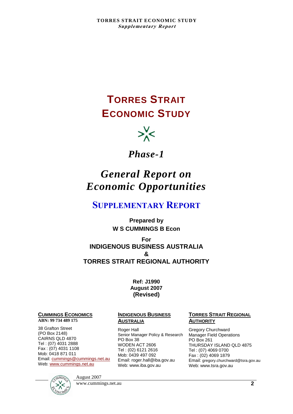## **TORRES STRAIT ECONOMIC STUDY**



## *Phase-1*

## *General Report on Economic Opportunities*

## **SUPPLEMENTARY REPORT**

**Prepared by W S CUMMINGS B Econ**

#### **For INDIGENOUS BUSINESS AUSTRALIA & TORRES STRAIT REGIONAL AUTHORITY**

#### **Ref: J1990 August 2007 (Revised)**

#### **CUMMINGS ECONOMICS**

#### **ABN: 99 734 489 175**

38 Grafton Street (PO Box 2148) CAIRNS QLD 4870 Tel : (07) 4031 2888 Fax : (07) 4031 1108 Mob: 0418 871 011 Email: [cummings@cummings.net.au](mailto:cummings@cummings.net.au) Web: [www.cummings.net.au](http://www.cummings.net.au/)

#### **INDIGENOUS BUSINESS AUSTRALIA**

Roger Hall Senior Manager Policy & Research PO Box 38 WODEN ACT 2606 Tel : (02) 6121 2616 Mob: 0439 497 092 Email: roger.hall@iba.gov.au Web: www.iba.gov.au

#### **TORRES STRAIT REGIONAL AUTHORITY**

Gregory Churchward Manager Field Operations PO Box 261 THURSDAY ISLAND QLD 4875 Tel : (07) 4069 0700 Fax : (02) 4069 1879 Email: gregory.churchward@tsra.gov.au Web: www.tsra.gov.au



August 2007

www.cummings.net.au **2**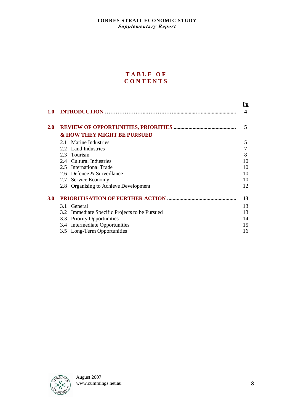#### **T A B L E O F C O N T E N T S**

|     |                                                  | $P_{\mathcal{Q}}$ |
|-----|--------------------------------------------------|-------------------|
| 1.0 |                                                  | 4                 |
| 2.0 |                                                  | 5                 |
|     | <b>&amp; HOW THEY MIGHT BE PURSUED</b>           |                   |
|     | 2.1 Marine Industries                            | 5                 |
|     | 2.2 Land Industries                              | 7                 |
|     | 2.3 Tourism                                      | 8                 |
|     | 2.4 Cultural Industries                          | 10                |
|     | 2.5 International Trade                          | 10                |
|     | 2.6 Defence & Surveillance                       | 10                |
|     | 2.7 Service Economy                              | 10                |
|     | Organising to Achieve Development<br>2.8         | 12                |
| 3.0 |                                                  | 13                |
|     | 3.1 General                                      | 13                |
|     | Immediate Specific Projects to be Pursued<br>3.2 | 13                |
|     | <b>Priority Opportunities</b><br>3.3             | 14                |
|     | Intermediate Opportunities<br>3.4                | 15                |
|     | 3.5 Long-Term Opportunities                      | 16                |

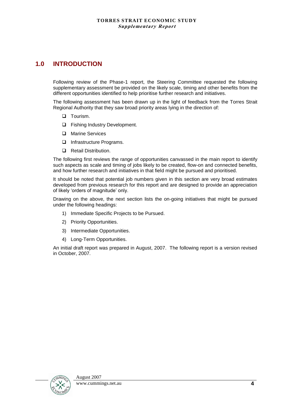### **1.0 INTRODUCTION**

Following review of the Phase-1 report, the Steering Committee requested the following supplementary assessment be provided on the likely scale, timing and other benefits from the different opportunities identified to help prioritise further research and initiatives.

The following assessment has been drawn up in the light of feedback from the Torres Strait Regional Authority that they saw broad priority areas lying in the direction of:

- $\Box$  Tourism.
- $\Box$  Fishing Industry Development.
- □ Marine Services
- □ Infrastructure Programs.
- **Q** Retail Distribution.

The following first reviews the range of opportunities canvassed in the main report to identify such aspects as scale and timing of jobs likely to be created, flow-on and connected benefits, and how further research and initiatives in that field might be pursued and prioritised.

It should be noted that potential job numbers given in this section are very broad estimates developed from previous research for this report and are designed to provide an appreciation of likely "orders of magnitude" only.

Drawing on the above, the next section lists the on-going initiatives that might be pursued under the following headings:

- 1) Immediate Specific Projects to be Pursued.
- 2) Priority Opportunities.
- 3) Intermediate Opportunities.
- 4) Long-Term Opportunities.

An initial draft report was prepared in August, 2007. The following report is a version revised in October, 2007.

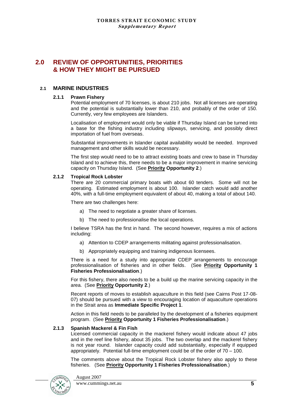#### **2.0 REVIEW OF OPPORTUNITIES, PRIORITIES & HOW THEY MIGHT BE PURSUED**

#### **2.1 MARINE INDUSTRIES**

#### **2.1.1 Prawn Fishery**

Potential employment of 70 licenses, is about 210 jobs. Not all licenses are operating and the potential is substantially lower than 210, and probably of the order of 150. Currently, very few employees are Islanders.

Localisation of employment would only be viable if Thursday Island can be turned into a base for the fishing industry including slipways, servicing, and possibly direct importation of fuel from overseas.

Substantial improvements in Islander capital availability would be needed. Improved management and other skills would be necessary.

The first step would need to be to attract existing boats and crew to base in Thursday Island and to achieve this, there needs to be a major improvement in marine servicing capacity on Thursday Island. (See **Priority Opportunity 2**.)

#### **2.1.2 Tropical Rock Lobster**

There are 20 commercial primary boats with about 60 tenders. Some will not be operating. Estimated employment is about 100. Islander catch would add another 40%, with a full-time employment equivalent of about 40, making a total of about 140.

There are two challenges here:

- a) The need to negotiate a greater share of licenses.
- b) The need to professionalise the local operations.

I believe TSRA has the first in hand. The second however, requires a mix of actions including:

- a) Attention to CDEP arrangements militating against professionalisation.
- b) Appropriately equipping and training indigenous licensees.

There is a need for a study into appropriate CDEP arrangements to encourage professionalisation of fisheries and in other fields. (See **Priority Opportunity 1 Fisheries Professionalisation**.)

For this fishery, there also needs to be a build up the marine servicing capacity in the area. (See **Priority Opportunity 2**.)

Recent reports of moves to establish aquaculture in this field (see Cairns Post 17-08- 07) should be pursued with a view to encouraging location of aquaculture operations in the Strait area as **Immediate Specific Project 1**.

Action in this field needs to be paralleled by the development of a fisheries equipment program. (See **Priority Opportunity 1 Fisheries Professionalisation**.)

#### **2.1.3 Spanish Mackerel & Fin Fish**

Licensed commercial capacity in the mackerel fishery would indicate about 47 jobs and in the reef line fishery, about 35 jobs. The two overlap and the mackerel fishery is not year round. Islander capacity could add substantially, especially if equipped appropriately. Potential full-time employment could be of the order of 70 – 100.

The comments above about the Tropical Rock Lobster fishery also apply to these fisheries. (See **Priority Opportunity 1 Fisheries Professionalisation**.)

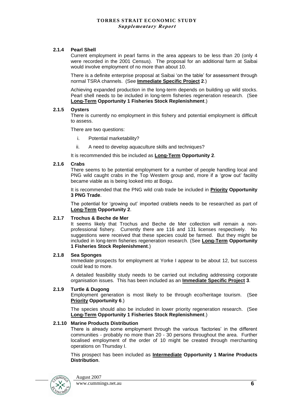#### **2.1.4 Pearl Shell**

Current employment in pearl farms in the area appears to be less than 20 (only 4 were recorded in the 2001 Census). The proposal for an additional farm at Saibai would involve employment of no more than about 10.

There is a definite enterprise proposal at Saibai "on the table" for assessment through normal TSRA channels. (See **Immediate Specific Project 2**.)

Achieving expanded production in the long-term depends on building up wild stocks. Pearl shell needs to be included in long-term fisheries regeneration research. (See **Long-Term Opportunity 1 Fisheries Stock Replenishment**.)

#### **2.1.5 Oysters**

There is currently no employment in this fishery and potential employment is difficult to assess.

There are two questions:

- i. Potential marketability?
- ii. A need to develop aquaculture skills and techniques?

It is recommended this be included as **Long-Term Opportunity 2**.

#### **2.1.6 Crabs**

There seems to be potential employment for a number of people handling local and PNG wild caught crabs in the Top Western group and, more if a "grow out" facility became viable as is being looked into at Boigu.

It is recommended that the PNG wild crab trade be included in **Priority Opportunity 3 PNG Trade**.

The potential for "growing out" imported crablets needs to be researched as part of **Long-Term Opportunity 2**.

#### **2.1.7 Trochus & Beche de Mer**

It seems likely that Trochus and Beche de Mer collection will remain a nonprofessional fishery. Currently there are 116 and 131 licenses respectively. No suggestions were received that these species could be farmed. But they might be included in long-term fisheries regeneration research. (See **Long-Term Opportunity 1 Fisheries Stock Replenishment**.)

#### **2.1.8 Sea Sponges**

Immediate prospects for employment at Yorke I appear to be about 12, but success could lead to more.

A detailed feasibility study needs to be carried out including addressing corporate organisation issues. This has been included as an **Immediate Specific Project 3**.

#### **2.1.9 Turtle & Dugong**

Employment generation is most likely to be through eco/heritage tourism. (See **Priority Opportunity 6**.)

The species should also be included in lower priority regeneration research. (See **Long-Term Opportunity 1 Fisheries Stock Replenishment**.)

#### **2.1.10 Marine Products Distribution**

There is already some employment through the various "factories" in the different communities - probably no more than 20 - 30 persons throughout the area. Further localised employment of the order of 10 might be created through merchanting operations on Thursday I.

This prospect has been included as **Intermediate Opportunity 1 Marine Products Distribution**.



August 2007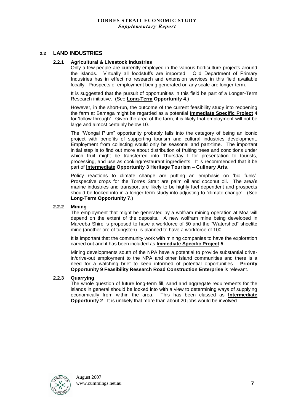#### **2.2 LAND INDUSTRIES**

#### **2.2.1 Agricultural & Livestock Industries**

Only a few people are currently employed in the various horticulture projects around the islands. Virtually all foodstuffs are imported. Q"ld Department of Primary Industries has in effect no research and extension services in this field available locally. Prospects of employment being generated on any scale are longer-term.

It is suggested that the pursuit of opportunities in this field be part of a Longer-Term Research initiative. (See **Long-Term Opportunity 4**.)

However, in the short-run, the outcome of the current feasibility study into reopening the farm at Bamaga might be regarded as a potential **Immediate Specific Project 4** for "follow through". Given the area of the farm, it is likely that employment will not be large and almost certainly below 10.

The "Wongai Plum" opportunity probably falls into the category of being an iconic project with benefits of supporting tourism and cultural industries development. Employment from collecting would only be seasonal and part-time. The important initial step is to find out more about distribution of fruiting trees and conditions under which fruit might be transferred into Thursday I for presentation to tourists, processing, and use as cooking/restaurant ingredients. It is recommended that it be part of **Intermediate Opportunity 3 Heritage Tourism – Culinary Arts**.

Policy reactions to climate change are putting an emphasis on 'bio fuels'. Prospective crops for the Torres Strait are palm oil and coconut oil. The area's marine industries and transport are likely to be highly fuel dependent and prospects should be looked into in a longer-term study into adjusting to "climate change". (See **Long-Term Opportunity 7**.)

#### **2.2.2 Mining**

The employment that might be generated by a wolfram mining operation at Moa will depend on the extent of the deposits. A new wolfram mine being developed in Mareeba Shire is proposed to have a workforce of 50 and the "Watershed" sheelite mine (another ore of tungsten) is planned to have a workforce of 100.

It is important that the community work with mining companies to have the exploration carried out and it has been included as **Immediate Specific Project 5**.

Mining developments south of the NPA have a potential to provide substantial drivein/drive-out employment to the NPA and other Island communities and there is a need for a watching brief to keep informed of potential opportunities. **Priority Opportunity 9 Feasibility Research Road Construction Enterprise** is relevant.

#### **2.2.3 Quarrying**

The whole question of future long-term fill, sand and aggregate requirements for the islands in general should be looked into with a view to determining ways of supplying economically from within the area. This has been classed as **Intermediate Opportunity 2**. It is unlikely that more than about 20 jobs would be involved.

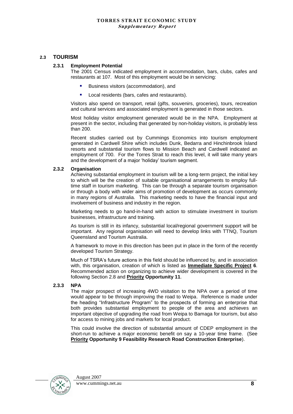#### **2.3 TOURISM**

#### **2.3.1 Employment Potential**

The 2001 Census indicated employment in accommodation, bars, clubs, cafes and restaurants at 107. Most of this employment would be in servicing:

- Business visitors (accommodation), and
- **Local residents (bars, cafes and restaurants).**

Visitors also spend on transport, retail (gifts, souvenirs, groceries), tours, recreation and cultural services and associated employment is generated in those sectors.

Most holiday visitor employment generated would be in the NPA. Employment at present in the sector, including that generated by non-holiday visitors, is probably less than 200.

Recent studies carried out by Cummings Economics into tourism employment generated in Cardwell Shire which includes Dunk, Bedarra and Hinchinbrook Island resorts and substantial tourism flows to Mission Beach and Cardwell indicated an employment of 700. For the Torres Strait to reach this level, it will take many years and the development of a major "holiday" tourism segment.

#### **2.3.2 Organisation**

Achieving substantial employment in tourism will be a long-term project, the initial key to which will be the creation of suitable organisational arrangements to employ fulltime staff in tourism marketing. This can be through a separate tourism organisation or through a body with wider aims of promotion of development as occurs commonly in many regions of Australia. This marketing needs to have the financial input and involvement of business and industry in the region.

Marketing needs to go hand-in-hand with action to stimulate investment in tourism businesses, infrastructure and training.

As tourism is still in its infancy, substantial local/regional government support will be important. Any regional organisation will need to develop links with TTNQ, Tourism Queensland and Tourism Australia.

A framework to move in this direction has been put in place in the form of the recently developed Tourism Strategy.

Much of TSRA"s future actions in this field should be influenced by, and in association with, this organisation, creation of which is listed as **Immediate Specific Project 6**. Recommended action on organizing to achieve wider development is covered in the following Section 2.8 and **Priority Opportunity 11**.

#### **2.3.3 NPA**

The major prospect of increasing 4WD visitation to the NPA over a period of time would appear to be through improving the road to Weipa. Reference is made under the heading "Infrastructure Program" to the prospects of forming an enterprise that both provides substantial employment to people of the area and achieves an important objective of upgrading the road from Weipa to Bamaga for tourism, but also for access to mining jobs and markets for local product.

This could involve the direction of substantial amount of CDEP employment in the short-run to achieve a major economic benefit on say a 10-year time frame. (See **Priority Opportunity 9 Feasibility Research Road Construction Enterprise**).

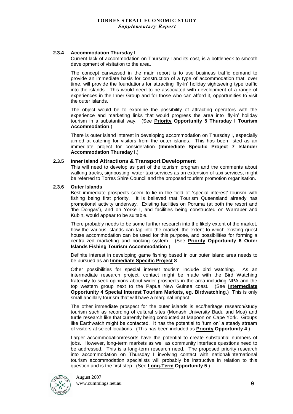#### **2.3.4 Accommodation Thursday I**

Current lack of accommodation on Thursday I and its cost, is a bottleneck to smooth development of visitation to the area.

The concept canvassed in the main report is to use business traffic demand to provide an immediate basis for construction of a type of accommodation that, over time, will provide the foundations for attracting "fly-in" holiday sightseeing type traffic into the islands. This would need to be associated with development of a range of experiences in the Inner Group and for those who can afford it, opportunities to visit the outer islands.

The object would be to examine the possibility of attracting operators with the experience and marketing links that would progress the area into "fly-in" holiday tourism in a substantial way. (See **Priority Opportunity 5 Thursday I Tourism Accommodation**.)

There is outer island interest in developing accommodation on Thursday I, especially aimed at catering for visitors from the outer islands. This has been listed as an immediate project for consideration (**Immediate Specific Project 7 Islander Accommodation Thursday I.**)

#### **2.3.5 Inner Island Attractions & Transport Development**

This will need to develop as part of the tourism program and the comments about walking tracks, signposting, water taxi services as an extension of taxi services, might be referred to Torres Shire Council and the proposed tourism promotion organisation.

#### **2.3.6 Outer Islands**

Best immediate prospects seem to lie in the field of "special interest" tourism with fishing being first priority. It is believed that Tourism Queensland already has promotional activity underway. Existing facilities on Poruma (at both the resort and "the Dongas"), and on Yorke I, and facilities being constructed on Warraber and Kubin, would appear to be suitable.

There probably needs to be some further research into the likely extent of the market, how the various islands can tap into the market, the extent to which existing guest house accommodation can be used for this purpose, and possibilities for forming a centralized marketing and booking system. (See **Priority Opportunity 6 Outer Islands Fishing Tourism Accommodation**.)

Definite interest in developing game fishing based in our outer island area needs to be pursued as an **Immediate Specific Project 8**.

Other possibilities for special interest tourism include bird watching. As an intermediate research project, contact might be made with the Bird Watching fraternity to seek opinions about wider prospects in the area including NPA and the top western group next to the Papua New Guinea coast. (See **Intermediate Opportunity 4 Special Interest Tourism Markets, eg. Birdwatching**.) This is only small ancillary tourism that will have a marginal impact.

The other immediate prospect for the outer islands is eco/heritage research/study tourism such as recording of cultural sites (Monash University Badu and Moa) and turtle research like that currently being conducted at Mapoon on Cape York. Groups like Earthwatch might be contacted. It has the potential to "turn on" a steady stream of visitors at select locations. (This has been included as **Priority Opportunity 4**.)

Larger accommodation/resorts have the potential to create substantial numbers of jobs. However, long-term markets as well as community interface questions need to be addressed. This is a long-term research need. The proposed priority research into accommodation on Thursday I involving contact with national/international tourism accommodation specialists will probably be instructive in relation to this question and is the first step. (See **Long-Term Opportunity 5**.)

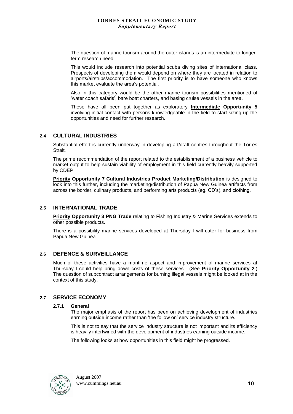The question of marine tourism around the outer islands is an intermediate to longerterm research need.

This would include research into potential scuba diving sites of international class. Prospects of developing them would depend on where they are located in relation to airports/airstrips/accommodation. The first priority is to have someone who knows this market evaluate the area"s potential.

Also in this category would be the other marine tourism possibilities mentioned of 'water coach safaris', bare boat charters, and basing cruise vessels in the area.

These have all been put together as exploratory **Intermediate Opportunity 5**  involving initial contact with persons knowledgeable in the field to start sizing up the opportunities and need for further research.

#### **2.4 CULTURAL INDUSTRIES**

Substantial effort is currently underway in developing art/craft centres throughout the Torres Strait.

The prime recommendation of the report related to the establishment of a business vehicle to market output to help sustain viability of employment in this field currently heavily supported by CDEP.

**Priority Opportunity 7 Cultural Industries Product Marketing/Distribution** is designed to look into this further, including the marketing/distribution of Papua New Guinea artifacts from across the border, culinary products, and performing arts products (eg. CD"s), and clothing.

#### **2.5 INTERNATIONAL TRADE**

**Priority Opportunity 3 PNG Trade** relating to Fishing Industry & Marine Services extends to other possible products.

There is a possibility marine services developed at Thursday I will cater for business from Papua New Guinea.

#### **2.6 DEFENCE & SURVEILLANCE**

Much of these activities have a maritime aspect and improvement of marine services at Thursday I could help bring down costs of these services. (See **Priority Opportunity 2**.) The question of subcontract arrangements for burning illegal vessels might be looked at in the context of this study.

#### **2.7 SERVICE ECONOMY**

#### **2.7.1 General**

The major emphasis of the report has been on achieving development of industries earning outside income rather than "the follow on" service industry structure.

This is not to say that the service industry structure is not important and its efficiency is heavily intertwined with the development of industries earning outside income.

The following looks at how opportunities in this field might be progressed.

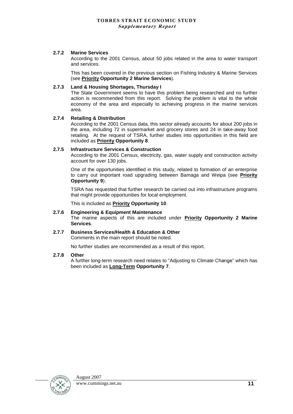#### **2.7.2 Marine Services**

According to the 2001 Census, about 50 jobs related in the area to water transport and services.

This has been covered in the previous section on Fishing Industry & Marine Services (see **Priority Opportunity 2 Marine Services**).

#### **2.7.3 Land & Housing Shortages, Thursday I**

The State Government seems to have this problem being researched and no further action is recommended from this report. Solving the problem is vital to the whole economy of the area and especially to achieving progress in the marine services area.

#### **2.7.4 Retailing & Distribution**

According to the 2001 Census data, this sector already accounts for about 200 jobs in the area, including 72 in supermarket and grocery stores and 24 in take-away food retailing. At the request of TSRA, further studies into opportunities in this field are included as **Priority Opportunity 8**.

#### **2.7.5 Infrastructure Services & Construction**

According to the 2001 Census, electricity, gas, water supply and construction activity account for over 130 jobs.

One of the opportunities identified in this study, related to formation of an enterprise to carry out important road upgrading between Bamaga and Weipa (see **Priority Opportunity 9**).

TSRA has requested that further research be carried out into infrastructure programs that might provide opportunities for local employment.

This is included as **Priority Opportunity 10**.

#### **2.7.6 Engineering & Equipment Maintenance**

The marine aspects of this are included under **Priority Opportunity 2 Marine Services**.

#### **2.7.7 Business Services/Health & Education & Other**

Comments in the main report should be noted.

No further studies are recommended as a result of this report.

#### **2.7.8 Other**

A further long-term research need relates to "Adjusting to Climate Change" which has been included as **Long-Term Opportunity 7**.

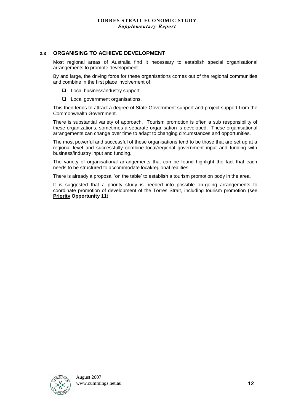#### **2.8 ORGANISING TO ACHIEVE DEVELOPMENT**

Most regional areas of Australia find it necessary to establish special organisational arrangements to promote development.

By and large, the driving force for these organisations comes out of the regional communities and combine in the first place involvement of:

□ Local business/industry support.

**L** Local government organisations.

This then tends to attract a degree of State Government support and project support from the Commonwealth Government.

There is substantial variety of approach. Tourism promotion is often a sub responsibility of these organizations, sometimes a separate organisation is developed. These organisational arrangements can change over time to adapt to changing circumstances and opportunities.

The most powerful and successful of these organisations tend to be those that are set up at a regional level and successfully combine local/regional government input and funding with business/industry input and funding.

The variety of organisational arrangements that can be found highlight the fact that each needs to be structured to accommodate local/regional realities.

There is already a proposal "on the table" to establish a tourism promotion body in the area.

It is suggested that a priority study is needed into possible on-going arrangements to coordinate promotion of development of the Torres Strait, including tourism promotion (see **Priority Opportunity 11**).

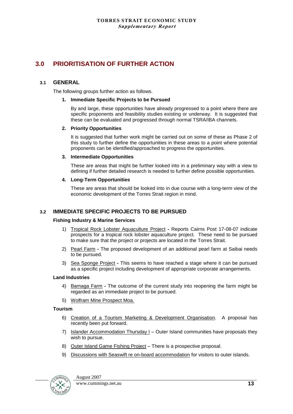### **3.0 PRIORITISATION OF FURTHER ACTION**

#### **3.1 GENERAL**

The following groups further action as follows.

#### **1. Immediate Specific Projects to be Pursued**

By and large, these opportunities have already progressed to a point where there are specific proponents and feasibility studies existing or underway. It is suggested that these can be evaluated and progressed through normal TSRA/IBA channels.

#### **2. Priority Opportunities**

It is suggested that further work might be carried out on some of these as Phase 2 of this study to further define the opportunities in these areas to a point where potential proponents can be identified/approached to progress the opportunities.

#### **3. Intermediate Opportunities**

These are areas that might be further looked into in a preliminary way with a view to defining if further detailed research is needed to further define possible opportunities.

#### **4. Long-Term Opportunities**

These are areas that should be looked into in due course with a long-term view of the economic development of the Torres Strait region in mind.

#### **3.2 IMMEDIATE SPECIFIC PROJECTS TO BE PURSUED**

#### **Fishing Industry & Marine Services**

- 1) Tropical Rock Lobster Aquaculture Project **-** Reports Cairns Post 17-08-07 indicate prospects for a tropical rock lobster aquaculture project. These need to be pursued to make sure that the project or projects are located in the Torres Strait.
- 2) Pearl Farm **-** The proposed development of an additional pearl farm at Saibai needs to be pursued.
- 3) Sea Sponge Project **-** This seems to have reached a stage where it can be pursued as a specific project including development of appropriate corporate arrangements.

#### **Land Industries**

- 4) Bamaga Farm **-** The outcome of the current study into reopening the farm might be regarded as an immediate project to be pursued.
- 5) Wolfram Mine Prospect Moa.

#### **Tourism**

- 6) Creation of a Tourism Marketing & Development Organisation. A proposal has recently been put forward.
- 7) Islander Accommodation Thursday I Outer Island communities have proposals they wish to pursue.
- 8) Outer Island Game Fishing Project There is a prospective proposal.
- 9) Discussions with Seaswift re on-board accommodation for visitors to outer islands.

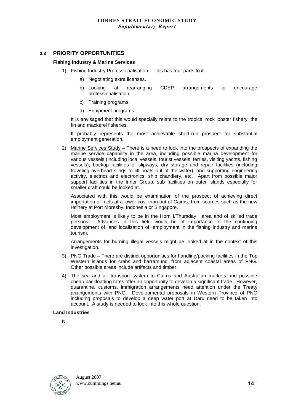#### **3.3 PRIORITY OPPORTUNITIES**

#### **Fishing Industry & Marine Services**

- 1) Fishing Industry Professionalisation This has four parts to it:
	- a) Negotiating extra licenses.
	- b) Looking at rearranging CDEP arrangements to encourage professionalisation.
	- c) Training programs.
	- d) Equipment programs.

It is envisaged that this would specially relate to the tropical rock lobster fishery, the fin and mackerel fisheries.

It probably represents the most achievable short-run prospect for substantial employment generation.

2) Marine Services Study **–** There is a need to look into the prospects of expanding the marine service capability in the area, including possible marina development for various vessels (including local vessels, tourist vessels, ferries, visiting yachts, fishing vessels), backup facilities of slipways, dry storage and repair facilities (including traveling overhead slings to lift boats out of the water), and supporting engineering activity, electrics and electronics, ship chandlery, etc. Apart from possible major support facilities in the Inner Group, sub facilities on outer islands especially for smaller craft could be looked at.

Associated with this would be examination of the prospect of achieving direct importation of fuels at a lower cost than out of Cairns, from sources such as the new refinery at Port Moresby, Indonesia or Singapore.

Most employment is likely to be in the Horn I/Thursday I area and of skilled trade persons. Advances in this field would be of importance to the continuing development of, and localisation of, employment in the fishing industry and marine tourism.

Arrangements for burning illegal vessels might be looked at in the context of this investigation.

- 3) PNG Trade **–** There are distinct opportunities for handling/packing facilities in the Top Western islands for crabs and barramundi from adjacent coastal areas of PNG. Other possible areas include artifacts and timber.
- 4) The sea and air transport system to Cairns and Australian markets and possible cheap backloading rates offer an opportunity to develop a significant trade. However, quarantine, customs, immigration arrangements need attention under the Treaty arrangements with PNG. Developmental proposals in Western Province of PNG including proposals to develop a deep water port at Daru need to be taken into account. A study is needed to look into this whole question.

#### **Land Industries**

Nil

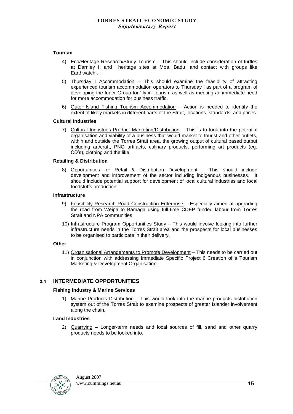#### **Tourism**

- 4) Eco/Heritage Research/Study Tourism This should include consideration of turtles at Darnley I, and heritage sites at Moa, Badu, and contact with groups like Earthwatch..
- 5) Thursday I Accommodation This should examine the feasibility of attracting experienced tourism accommodation operators to Thursday I as part of a program of developing the Inner Group for "fly-in" tourism as well as meeting an immediate need for more accommodation for business traffic.
- 6) Outer Island Fishing Tourism Accommodation Action is needed to identify the extent of likely markets in different parts of the Strait, locations, standards, and prices.

#### **Cultural Industries**

7) Cultural Industries Product Marketing/Distribution – This is to look into the potential organisation and viability of a business that would market to tourist and other outlets, within and outside the Torres Strait area, the growing output of cultural based output including art/craft, PNG artifacts, culinary products, performing art products (eg. CD"s), clothing and the like.

#### **Retailing & Distribution**

8) Opportunities for Retail & Distribution Development – This should include development and improvement of the sector including indigenous businesses. It should include potential support for development of local cultural industries and local foodstuffs production.

#### **Infrastructure**

- 9) Feasibility Research Road Construction Enterprise Especially aimed at upgrading the road from Weipa to Bamaga using full-time CDEP funded labour from Torres Strait and NPA communities.
- 10) Infrastructure Program Opportunities Study This would involve looking into further infrastructure needs in the Torres Strait area and the prospects for local businesses to be organised to participate in their delivery.

#### **Other**

11) Organisational Arrangements to Promote Development – This needs to be carried out in conjunction with addressing Immediate Specific Project 6 Creation of a Tourism Marketing & Development Organisation.

#### **3.4 INTERMEDIATE OPPORTUNITIES**

#### **Fishing Industry & Marine Services**

1) Marine Products Distribution – This would look into the marine products distribution system out of the Torres Strait to examine prospects of greater Islander involvement along the chain.

#### **Land Industries**

2) Quarrying **–** Longer-term needs and local sources of fill, sand and other quarry products needs to be looked into.